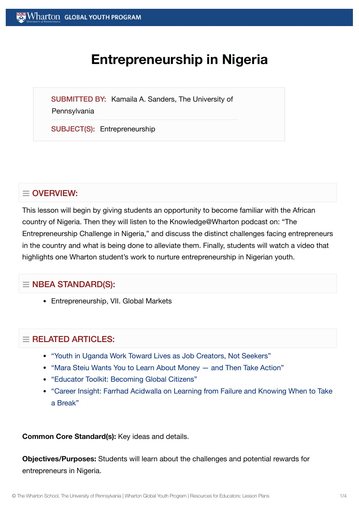# **Entrepreneurship in Nigeria**

SUBMITTED BY: Kamaila A. Sanders, The University of

**Pennsylvania** 

SUBJECT(S): Entrepreneurship

## $\equiv$  OVERVIEW:

This lesson will begin by giving students an opportunity to become familiar with the African country of Nigeria. Then they will listen to the Knowledge@Wharton podcast on: "The Entrepreneurship Challenge in Nigeria," and discuss the distinct challenges facing entrepreneurs in the country and what is being done to alleviate them. Finally, students will watch a video that highlights one Wharton student's work to nurture entrepreneurship in Nigerian youth.

## $\equiv$  NBEA STANDARD(S):

Entrepreneurship, VII. Global Markets

## $\equiv$  RELATED ARTICLES:

- "Youth in Uganda Work Toward [Lives as Job](https://globalyouth.wharton.upenn.edu/articles/youth-uganda-become-job-creators-not-seekers/) Creators, Not Seekers"
- "Mara Steiu Wants You to Learn About [Money and](https://globalyouth.wharton.upenn.edu/articles/learn_about_money/) Then Take Action"
- "Educator Toolkit: [Becoming](https://globalyouth.wharton.upenn.edu/articles/august-2017-becoming-global-citizens/) Global Citizens"
- "Career Insight: Farrhad [Acidwalla](https://globalyouth.wharton.upenn.edu/articles/career-insight-farrhad-acidwalla-learning-failure-knowing-take-break/) on Learning from Failure and Knowing When to Take a Break"

**Common Core Standard(s):** Key ideas and details.

**Objectives/Purposes:** Students will learn about the challenges and potential rewards for entrepreneurs in Nigeria.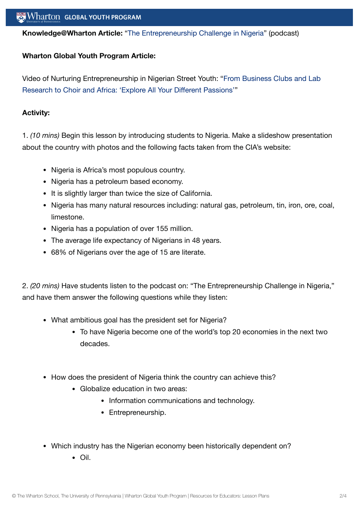**Knowledge@Wharton Article:** "The [Entrepreneurship](http://knowledge.wharton.upenn.edu/article.cfm?articleid=1675) Challenge in Nigeria" (podcast)

#### **Wharton Global Youth Program Article:**

Video of Nurturing Entrepreneurship in Nigerian Street Youth: "From [Business Clubs and](https://globalyouth.wharton.upenn.edu/articles/from-business-clubs-and-lab-research-to-choir-and-africa-explore-all-your-different-passions/) Lab Research to Choir and Africa: 'Explore All Your Different Passions'"

#### **Activity:**

1. *(10 mins)* Begin this lesson by introducing students to Nigeria. Make a slideshow presentation about the country with photos and the following facts taken from the CIA's website:

- Nigeria is Africa's most populous country.
- Nigeria has a petroleum based economy.
- It is slightly larger than twice the size of California.
- Nigeria has many natural resources including: natural gas, petroleum, tin, iron, ore, coal, limestone.
- Nigeria has a population of over 155 million.
- The average life expectancy of Nigerians in 48 years.
- 68% of Nigerians over the age of 15 are literate.

2. *(20 mins)* Have students listen to the podcast on: "The Entrepreneurship Challenge in Nigeria," and have them answer the following questions while they listen:

- What ambitious goal has the president set for Nigeria?
	- To have Nigeria become one of the world's top 20 economies in the next two decades.
- How does the president of Nigeria think the country can achieve this?
	- Globalize education in two areas:
		- Information communications and technology.
		- Entrepreneurship.
- Which industry has the Nigerian economy been historically dependent on?
	- Oil.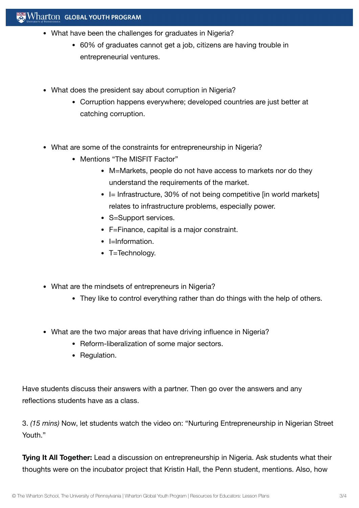### $\mathbb{R}$  Wharton Global Youth Program

- What have been the challenges for graduates in Nigeria?
	- 60% of graduates cannot get a job, citizens are having trouble in entrepreneurial ventures.
- What does the president say about corruption in Nigeria?
	- Corruption happens everywhere; developed countries are just better at catching corruption.
- What are some of the constraints for entrepreneurship in Nigeria?
	- Mentions "The MISFIT Factor"
		- M=Markets, people do not have access to markets nor do they understand the requirements of the market.
		- $\bullet$  I= Infrastructure, 30% of not being competitive [in world markets] relates to infrastructure problems, especially power.
		- S=Support services.
		- F=Finance, capital is a major constraint.
		- $\bullet$  l=Information.
		- T=Technology.
- What are the mindsets of entrepreneurs in Nigeria?
	- They like to control everything rather than do things with the help of others.
- What are the two major areas that have driving influence in Nigeria?
	- Reform-liberalization of some major sectors.
	- Regulation.

Have students discuss their answers with a partner. Then go over the answers and any reflections students have as a class.

3. *(15 mins)* Now, let students watch the video on: "Nurturing Entrepreneurship in Nigerian Street Youth."

**Tying It All Together:** Lead a discussion on entrepreneurship in Nigeria. Ask students what their thoughts were on the incubator project that Kristin Hall, the Penn student, mentions. Also, how